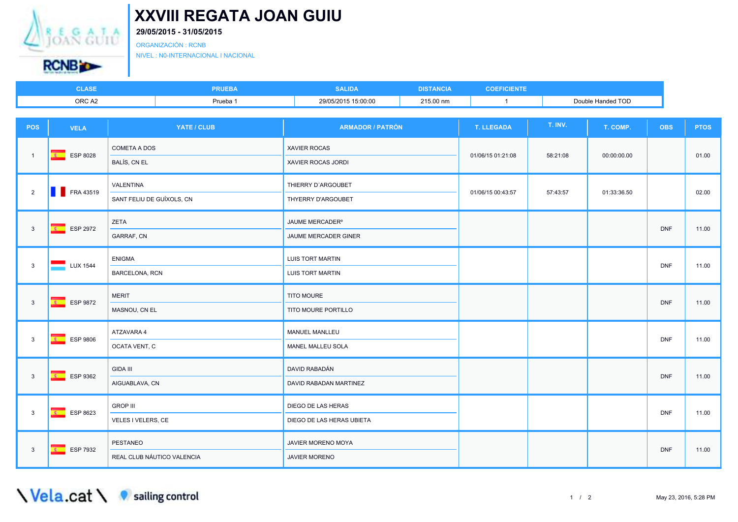

## **XXVIII REGATA JOAN GUIU**

## **29/05/2015 - 31/05/2015**

ORGANIZACIÓN : RCNB

NIVEL : N0-INTERNACIONAL I NACIONAL

| <b>ACE</b><br>LAƏE | <b>RUEBA</b> | <b>SALIDA</b>       | <b>MOD</b> | <b>COEFICIENTE</b> |                             |
|--------------------|--------------|---------------------|------------|--------------------|-----------------------------|
| ORC A2             | Prueba 1     | 29/05/2015 15:00:00 | 215.00 nm  |                    | <b>Handed TOD</b><br>Double |

| POS            | <b>VELA</b>                       | YATE / CLUB                            | <b>ARMADOR / PATRÓN</b>                             | <b>T. LLEGADA</b> | T. INV.  | T. COMP.    | <b>OBS</b> | <b>PTOS</b> |
|----------------|-----------------------------------|----------------------------------------|-----------------------------------------------------|-------------------|----------|-------------|------------|-------------|
| $\overline{1}$ | ESP 8028                          | <b>COMETA A DOS</b><br>BALÍS, CN EL    | <b>XAVIER ROCAS</b><br>XAVIER ROCAS JORDI           | 01/06/15 01:21:08 | 58:21:08 | 00:00:00.00 |            | 01.00       |
| $\overline{2}$ | <b>FRA 43519</b>                  | VALENTINA<br>SANT FELIU DE GUÍXOLS, CN | THIERRY D'ARGOUBET<br>THYERRY D'ARGOUBET            | 01/06/15 00:43:57 | 57:43:57 | 01:33:36.50 |            | 02.00       |
| $\mathbf{3}$   | ESP 2972                          | ZETA<br>GARRAF, CN                     | JAUME MERCADER <sup>®</sup><br>JAUME MERCADER GINER |                   |          |             | <b>DNF</b> | 11.00       |
| $\mathbf{3}$   | $\overline{\phantom{1}}$ LUX 1544 | <b>ENIGMA</b><br>BARCELONA, RCN        | <b>LUIS TORT MARTIN</b><br>LUIS TORT MARTIN         |                   |          |             | <b>DNF</b> | 11.00       |
| $\overline{3}$ | $\overline{B}$<br>ESP 9872        | <b>MERIT</b><br>MASNOU, CN EL          | TITO MOURE<br>TITO MOURE PORTILLO                   |                   |          |             | <b>DNF</b> | 11.00       |
| $\mathbf{3}$   | $\overline{B}$<br>ESP 9806        | ATZAVARA 4<br>OCATA VENT, C            | MANUEL MANLLEU<br>MANEL MALLEU SOLA                 |                   |          |             | <b>DNF</b> | 11.00       |
| $\overline{3}$ | $F =$ ESP 9362                    | <b>GIDA III</b><br>AIGUABLAVA, CN      | DAVID RABADÁN<br>DAVID RABADAN MARTINEZ             |                   |          |             | <b>DNF</b> | 11.00       |
| $\mathbf{3}$   | <b>ESP 8623</b>                   | <b>GROP III</b><br>VELES I VELERS, CE  | DIEGO DE LAS HERAS<br>DIEGO DE LAS HERAS UBIETA     |                   |          |             | <b>DNF</b> | 11.00       |
| $\mathbf{3}$   | <b>K</b> ESP 7932                 | PESTANEO<br>REAL CLUB NÁUTICO VALENCIA | JAVIER MORENO MOYA<br>JAVIER MORENO                 |                   |          |             | <b>DNF</b> | 11.00       |